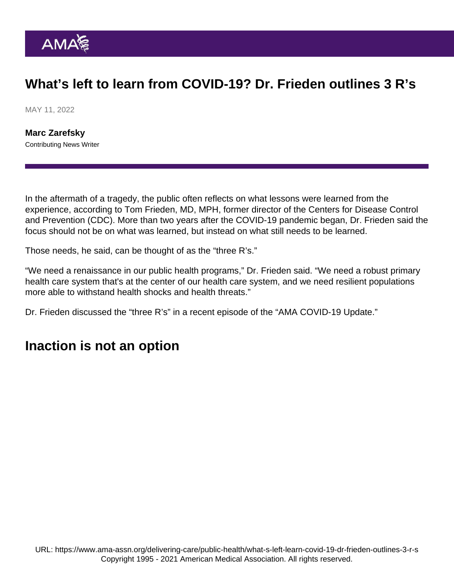## What's left to learn from COVID-19? Dr. Frieden outlines 3 R's

MAY 11, 2022

[Marc Zarefsky](https://www.ama-assn.org/news-leadership-viewpoints/authors-news-leadership-viewpoints/marc-zarefsky) Contributing News Writer

In the aftermath of a tragedy, the public often reflects on what lessons were learned from the experience, according to Tom Frieden, MD, MPH, former director of the Centers for Disease Control and Prevention (CDC). More than two years after the COVID-19 pandemic began, Dr. Frieden said the focus should not be on what was learned, but instead on what still needs to be learned.

Those needs, he said, can be thought of as the "three R's."

"We need a renaissance in our public health programs," Dr. Frieden said. "We need a robust primary health care system that's at the center of our health care system, and we need resilient populations more able to withstand health shocks and health threats."

Dr. Frieden discussed the "three R's" in a [recent episode](https://www.ama-assn.org/delivering-care/public-health/lessons-pandemic-tom-frieden-md-mph) of the ["AMA COVID-19 Update](https://www.ama-assn.org/series/covid-19-video-update)."

Inaction is not an option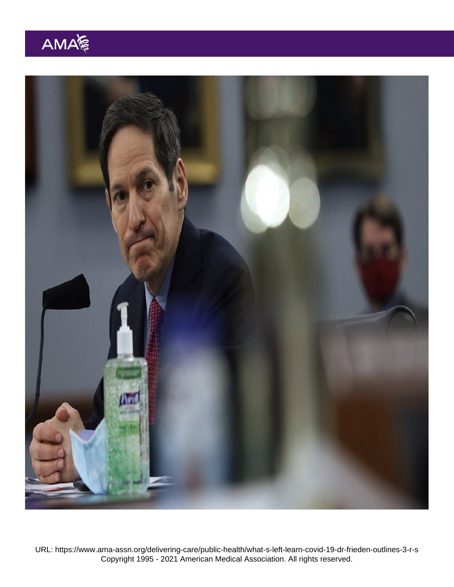URL:<https://www.ama-assn.org/delivering-care/public-health/what-s-left-learn-covid-19-dr-frieden-outlines-3-r-s> Copyright 1995 - 2021 American Medical Association. All rights reserved.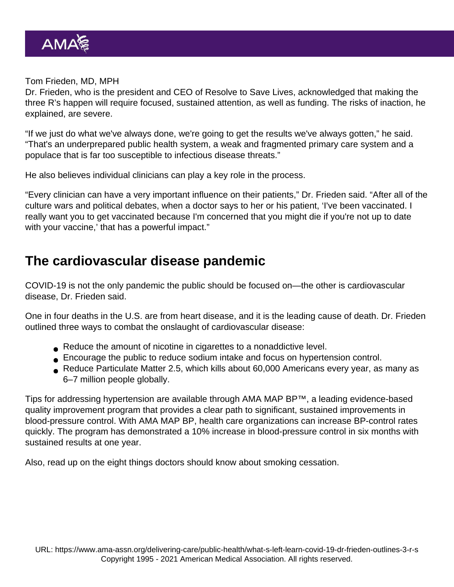Tom Frieden, MD, MPH

Dr. Frieden, who is the president and CEO of Resolve to Save Lives, acknowledged that making the three R's happen will require focused, sustained attention, as well as funding. The risks of inaction, he explained, are severe.

"If we just do what we've always done, we're going to get the results we've always gotten," he said. "That's an underprepared public health system, a weak and fragmented primary care system and a populace that is far too susceptible to infectious disease threats."

He also believes individual clinicians can play a key role in the process.

"Every clinician can have a very important influence on their patients," Dr. Frieden said. "After all of the culture wars and political debates, when a doctor says to her or his patient, 'I've been vaccinated. I really want you to get vaccinated because I'm concerned that you might die if you're not up to date with your vaccine,' that has a powerful impact."

## The cardiovascular disease pandemic

COVID-19 is not the only pandemic the public should be focused on—the other is cardiovascular disease, Dr. Frieden said.

One in four deaths in the U.S. are from heart disease, and it is the leading cause of death. Dr. Frieden outlined three ways to combat the onslaught of cardiovascular disease:

- Reduce the amount of nicotine in cigarettes to a nonaddictive level.
- Encourage the public to reduce sodium intake and focus on hypertension control.
- Reduce Particulate Matter 2.5, which kills about 60,000 Americans every year, as many as 6–7 million people globally.

Tips for addressing hypertension are available through [AMA MAP BP™](https://map.ama-assn.org/), a leading evidence-based quality improvement program that provides a clear path to significant, sustained improvements in blood-pressure control. With AMA MAP BP, health care organizations can increase BP-control rates quickly. The program has demonstrated a 10% increase in blood-pressure control in six months with sustained results at one year.

Also, read up on the [eight things doctors should know about smoking cessation](https://www.ama-assn.org/delivering-care/public-health/latest-smoking-cessation-8-things-physicians-should-know).